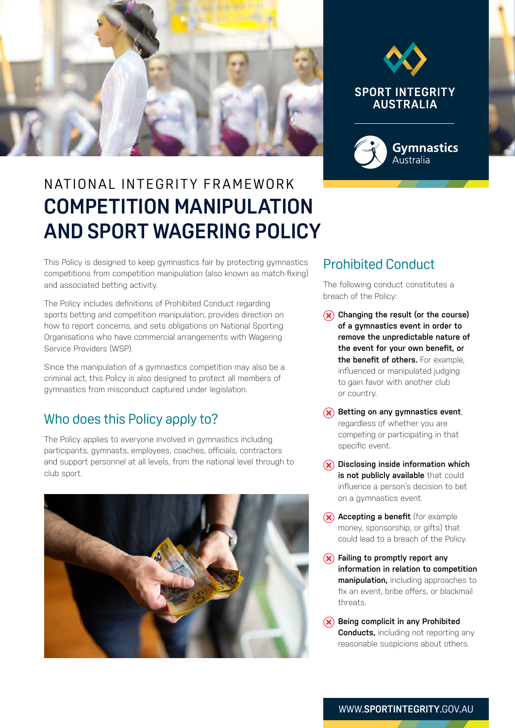



# N AT IONAL IN TEGRITY FRAMEWORK **COMPETITION MANIPULATION AND SPORT WAGERING POLICY**

This Policy is designed to keep gymnastics fair by protecting gymnastics competitions from competition manipulation (also known as match-fixing) and associated betting activity.

The Policy includes definitions of Prohibited Conduct regarding sports betting and competition manipulation, provides direction on how to report concerns, and sets obligations on National Sporting Organisations who have commercial arrangements with Wagering Service Providers (WSP).

Since the manipulation of a gymnastics competition may also be a criminal act, this Policy is also designed to protect all members of gymnastics from misconduct captured under legislation.

#### Who does this Policy apply to?

The Policy applies to everyone involved in gymnastics including participants, gymnasts, employees, coaches, officials, contractors and support personnel at all levels, from the national level through to club sport.



## Prohibited Conduct

The following conduct constitutes a breach of the Policy:

- **Changing the result (or the course) of a gymnastics event in order to remove the unpredictable nature of the event for your own benefit, or the benefit of others.** For example, influenced or manipulated judging to gain favor with another club or country.
- **RBetting on any gymnastics event,** regardless of whether you are competing or participating in that specific event.
- **Disclosing inside information which is not publicly available** that could influence a person's decision to bet on a gymnastics event.
- **Accepting a benefit** (for example money, sponsorship, or gifts) that could lead to a breach of the Policy.
- **Failing to promptly report any information in relation to competition manipulation,** including approaches to fix an event, bribe offers, or blackmail threats.
- **8Being complicit in any Prohibited Conducts, including not reporting any** reasonable suspicions about others.